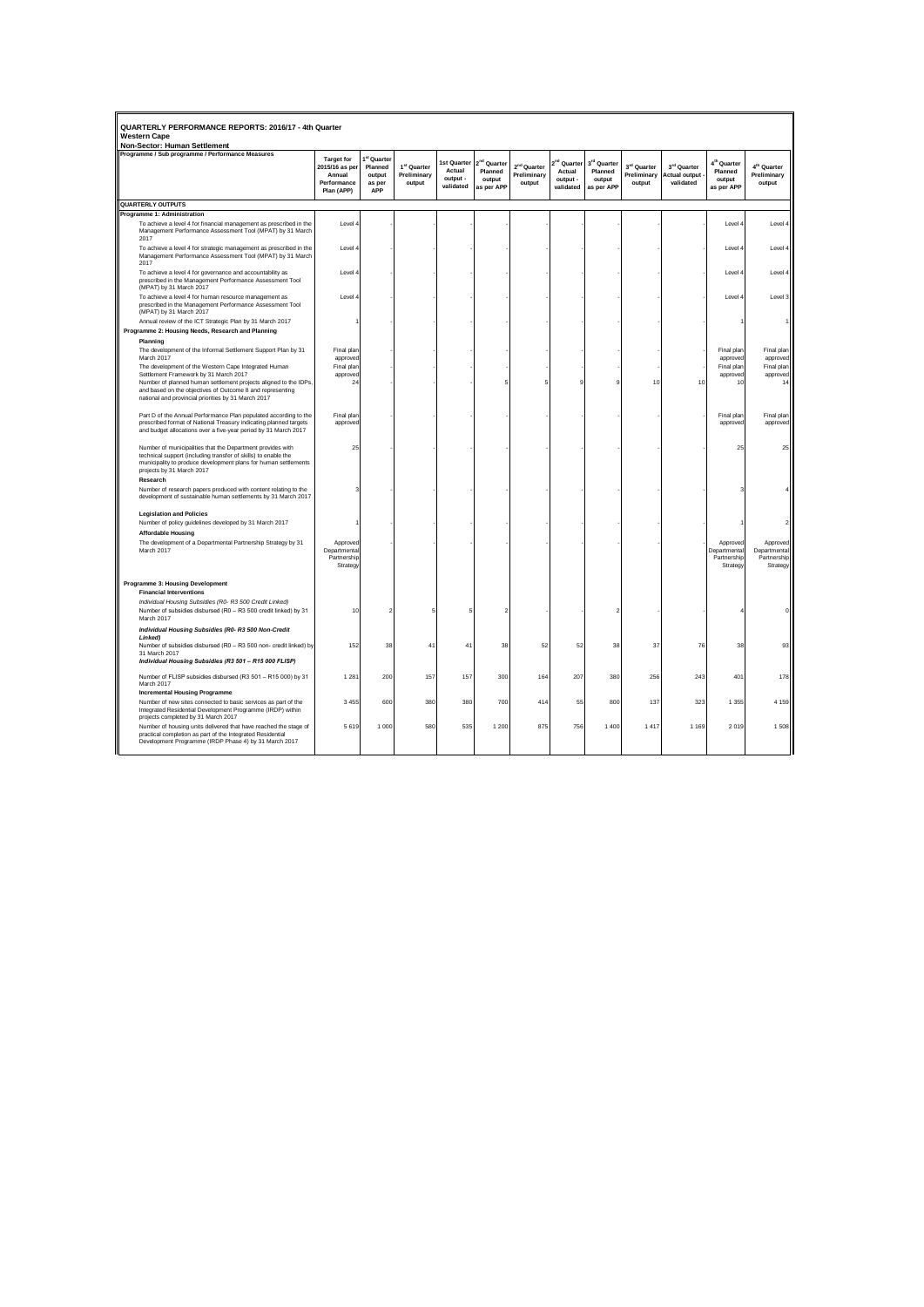| QUARTERLY PERFORMANCE REPORTS: 2016/17 - 4th Quarter<br>Western Cane                                                                                                                                                                     |                                                                            |                                                             |                                                  |                                                       |                                                            |                                                  |                                                            |                                                            |                                               |                                                           |                                                            |                                                     |
|------------------------------------------------------------------------------------------------------------------------------------------------------------------------------------------------------------------------------------------|----------------------------------------------------------------------------|-------------------------------------------------------------|--------------------------------------------------|-------------------------------------------------------|------------------------------------------------------------|--------------------------------------------------|------------------------------------------------------------|------------------------------------------------------------|-----------------------------------------------|-----------------------------------------------------------|------------------------------------------------------------|-----------------------------------------------------|
| Non-Sector: Human Settlement<br>Programme / Sub programme / Performance Measures                                                                                                                                                         |                                                                            |                                                             |                                                  |                                                       |                                                            |                                                  |                                                            |                                                            |                                               |                                                           |                                                            |                                                     |
|                                                                                                                                                                                                                                          | <b>Target for</b><br>2015/16 as per<br>Annual<br>Performance<br>Plan (APP) | <sup>st</sup> Quarter<br>Planned<br>output<br>as per<br>APP | 1 <sup>st</sup> Quarter<br>Preliminary<br>output | <b>1st Quarter</b><br>Actual<br>output -<br>validated | 2 <sup>nd</sup> Quarter<br>Planned<br>output<br>as per APP | 2 <sup>nd</sup> Quarter<br>Preliminary<br>output | 2 <sup>nd</sup> Quarter<br>Actual<br>output -<br>validated | 3 <sup>rd</sup> Quarter<br>Planned<br>output<br>as per APP | $3^{\rm rd}$ Quarter<br>Preliminary<br>output | $3^{\rm rd}$ Quarter<br><b>Actual output</b><br>validated | 4 <sup>th</sup> Quarter<br>Planned<br>output<br>as per APP | 4 <sup>th</sup> Quarter<br>Preliminary<br>output    |
| QUARTERLY OUTPUTS                                                                                                                                                                                                                        |                                                                            |                                                             |                                                  |                                                       |                                                            |                                                  |                                                            |                                                            |                                               |                                                           |                                                            |                                                     |
| <b>Programme 1: Administration</b>                                                                                                                                                                                                       |                                                                            |                                                             |                                                  |                                                       |                                                            |                                                  |                                                            |                                                            |                                               |                                                           |                                                            |                                                     |
| To achieve a level 4 for financial management as prescribed in the<br>Management Performance Assessment Tool (MPAT) by 31 March<br>2017                                                                                                  | I evel                                                                     |                                                             |                                                  |                                                       |                                                            |                                                  |                                                            |                                                            |                                               |                                                           | Level 4                                                    | Level 4                                             |
| To achieve a level 4 for strategic management as prescribed in the<br>Management Performance Assessment Tool (MPAT) by 31 March<br>2017                                                                                                  | Level 4                                                                    |                                                             |                                                  |                                                       |                                                            |                                                  |                                                            |                                                            |                                               |                                                           | Level 4                                                    | Level                                               |
| To achieve a level 4 for governance and accountability as<br>prescribed in the Management Performance Assessment Tool<br>(MPAT) by 31 March 2017                                                                                         | Level -                                                                    |                                                             |                                                  |                                                       |                                                            |                                                  |                                                            |                                                            |                                               |                                                           | Level 4                                                    | Level 4                                             |
| To achieve a level 4 for human resource management as<br>prescribed in the Management Performance Assessment Tool<br>(MPAT) by 31 March 2017                                                                                             | Level 4                                                                    |                                                             |                                                  |                                                       |                                                            |                                                  |                                                            |                                                            |                                               |                                                           | Level 4                                                    | Level 3                                             |
| Annual review of the ICT Strategic Plan by 31 March 2017                                                                                                                                                                                 |                                                                            |                                                             |                                                  |                                                       |                                                            |                                                  |                                                            |                                                            |                                               |                                                           |                                                            |                                                     |
| Programme 2: Housing Needs, Research and Planning                                                                                                                                                                                        |                                                                            |                                                             |                                                  |                                                       |                                                            |                                                  |                                                            |                                                            |                                               |                                                           |                                                            |                                                     |
| Planning<br>The development of the Informal Settlement Support Plan by 31<br>March 2017<br>The development of the Western Cape Integrated Human                                                                                          | Final plan<br>approved<br>Final plan                                       |                                                             |                                                  |                                                       |                                                            |                                                  |                                                            |                                                            |                                               |                                                           | Final plan<br>approved<br>Final plan                       | Final plan<br>approved<br>Final plan                |
| Settlement Framework by 31 March 2017                                                                                                                                                                                                    | approved                                                                   |                                                             |                                                  |                                                       |                                                            |                                                  |                                                            |                                                            |                                               |                                                           | approved                                                   | approved                                            |
| Number of planned human settlement projects aligned to the IDPs.<br>and based on the objectives of Outcome 8 and representing                                                                                                            | 24                                                                         |                                                             |                                                  |                                                       |                                                            |                                                  |                                                            |                                                            | 10                                            | 10                                                        | 10                                                         | 14                                                  |
| national and provincial priorities by 31 March 2017                                                                                                                                                                                      |                                                                            |                                                             |                                                  |                                                       |                                                            |                                                  |                                                            |                                                            |                                               |                                                           |                                                            |                                                     |
| Part D of the Annual Performance Plan populated according to the<br>prescribed format of National Treasury indicating planned targets<br>and budget allocations over a five-year period by 31 March 2017                                 | Final plar<br>approved                                                     |                                                             |                                                  |                                                       |                                                            |                                                  |                                                            |                                                            |                                               |                                                           | Final plan<br>approved                                     | Final plan<br>approved                              |
| Number of municipalities that the Department provides with<br>technical support (including transfer of skills) to enable the<br>municipality to produce development plans for human settlements<br>projects by 31 March 2017<br>Research | 25                                                                         |                                                             |                                                  |                                                       |                                                            |                                                  |                                                            |                                                            |                                               |                                                           | 25                                                         | 25                                                  |
| Number of research papers produced with content relating to the<br>development of sustainable human settlements by 31 March 2017                                                                                                         |                                                                            |                                                             |                                                  |                                                       |                                                            |                                                  |                                                            |                                                            |                                               |                                                           |                                                            |                                                     |
| <b>Legislation and Policies</b><br>Number of policy guidelines developed by 31 March 2017                                                                                                                                                |                                                                            |                                                             |                                                  |                                                       |                                                            |                                                  |                                                            |                                                            |                                               |                                                           |                                                            |                                                     |
| <b>Affordable Housing</b>                                                                                                                                                                                                                |                                                                            |                                                             |                                                  |                                                       |                                                            |                                                  |                                                            |                                                            |                                               |                                                           |                                                            |                                                     |
| The development of a Departmental Partnership Strategy by 31<br>March 2017                                                                                                                                                               | Approved<br>Departmental<br>Partnership<br>Strategy                        |                                                             |                                                  |                                                       |                                                            |                                                  |                                                            |                                                            |                                               |                                                           | Approved<br>Departmental<br>Partnership<br>Strategy        | Approved<br>Departmental<br>Partnership<br>Strategy |
| Programme 3: Housing Development<br><b>Financial Interventions</b>                                                                                                                                                                       |                                                                            |                                                             |                                                  |                                                       |                                                            |                                                  |                                                            |                                                            |                                               |                                                           |                                                            |                                                     |
| Individual Housing Subsidies (R0- R3 500 Credit Linked)<br>Number of subsidies disbursed (R0 - R3 500 credit linked) by 31<br>March 2017                                                                                                 | 10                                                                         |                                                             |                                                  |                                                       |                                                            |                                                  |                                                            |                                                            |                                               |                                                           |                                                            |                                                     |
| Individual Housing Subsidies (R0-R3 500 Non-Credit                                                                                                                                                                                       |                                                                            |                                                             |                                                  |                                                       |                                                            |                                                  |                                                            |                                                            |                                               |                                                           |                                                            |                                                     |
| Linked)<br>Number of subsidies disbursed (R0 - R3 500 non- credit linked) by<br>31 March 2017                                                                                                                                            | 152                                                                        | 38                                                          | 4 <sup>1</sup>                                   | 41                                                    | 38                                                         | 52                                               | 52                                                         | 38                                                         | 37                                            | 76                                                        | 38                                                         | 93                                                  |
| Individual Housing Subsidies (R3 501 - R15 000 FLISP)                                                                                                                                                                                    |                                                                            |                                                             |                                                  |                                                       |                                                            |                                                  |                                                            |                                                            |                                               |                                                           |                                                            |                                                     |
| Number of FLISP subsidies disbursed (R3 501 - R15 000) by 31<br>March 2017                                                                                                                                                               | 1 2 8 1                                                                    | 200                                                         | 157                                              | 157                                                   | 300                                                        | 164                                              | 207                                                        | 380                                                        | 256                                           | 243                                                       | 401                                                        | 178                                                 |
| <b>Incremental Housing Programme</b>                                                                                                                                                                                                     |                                                                            |                                                             |                                                  |                                                       |                                                            |                                                  |                                                            |                                                            |                                               |                                                           |                                                            |                                                     |
| Number of new sites connected to basic services as part of the<br>Integrated Residential Development Programme (IRDP) within<br>projects completed by 31 March 2017                                                                      | 3 4 5 5                                                                    | 600                                                         | 380                                              | 380                                                   | 700                                                        | 414                                              | 55                                                         | 800                                                        | 137                                           | 323                                                       | 1 3 5 5                                                    | 4 1 5 9                                             |
| Number of housing units delivered that have reached the stage of<br>practical completion as part of the Integrated Residential<br>Development Programme (IRDP Phase 4) by 31 March 2017                                                  | 5619                                                                       | 1 000                                                       | 580                                              | 535                                                   | 1 200                                                      | 875                                              | 756                                                        | 1 400                                                      | 1417                                          | 1 1 6 9                                                   | 2019                                                       | 1508                                                |